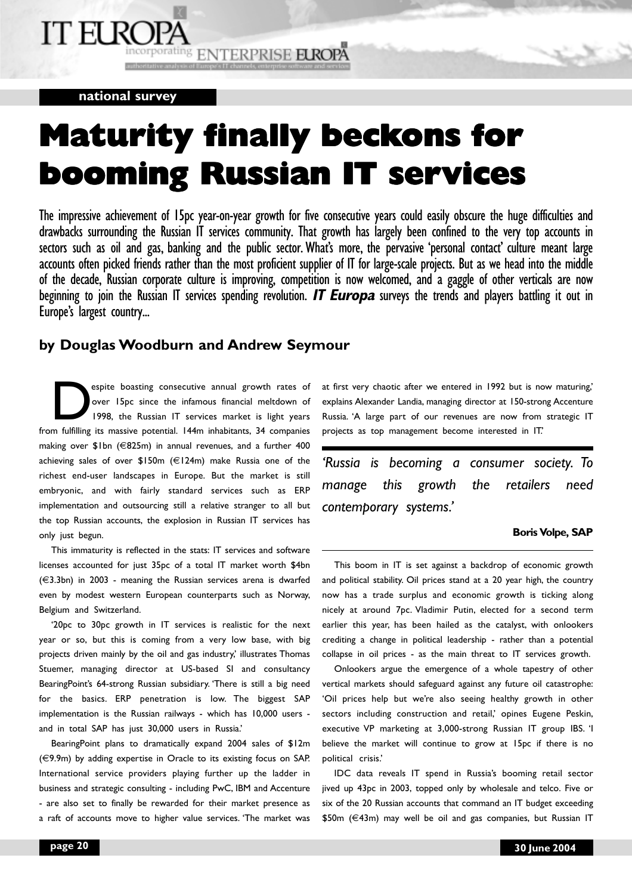# IT EI RO

ncorporating ENTERPRISE EUROPA

## **national survey**

## **Maturity finally beckons for booming Russian IT ser booming Russian IT services**

The impressive achievement of 15pc year-on-year growth for five consecutive years could easily obscure the huge difficulties and drawbacks surrounding the Russian IT services community. That growth has largely been confined to the very top accounts in sectors such as oil and gas, banking and the public sector. What's more, the pervasive 'personal contact' culture meant large accounts often picked friends rather than the most proficient supplier of IT for large-scale projects. But as we head into the middle of the decade, Russian corporate culture is improving, competition is now welcomed, and a gaggle of other verticals are now beginning to join the Russian IT services spending revolution. **IT Europa** surveys the trends and players battling it out in Europe's largest country...

## **by Douglas Woodburn and Andrew Seymour**

espite boasting consecutive annual growth rates of<br>over 15pc since the infamous financial meltdown of<br>1998, the Russian IT services market is light years over 15pc since the infamous financial meltdown of 1998, the Russian IT services market is light years from fulfilling its massive potential. 144m inhabitants, 34 companies making over \$1bn (€825m) in annual revenues, and a further 400 achieving sales of over \$150m (€124m) make Russia one of the richest end-user landscapes in Europe. But the market is still embryonic, and with fairly standard services such as ERP implementation and outsourcing still a relative stranger to all but the top Russian accounts, the explosion in Russian IT services has only just begun.

This immaturity is reflected in the stats: IT services and software licenses accounted for just 35pc of a total IT market worth \$4bn (€3.3bn) in 2003 - meaning the Russian services arena is dwarfed even by modest western European counterparts such as Norway, Belgium and Switzerland.

'20pc to 30pc growth in IT services is realistic for the next year or so, but this is coming from a very low base, with big projects driven mainly by the oil and gas industry,' illustrates Thomas Stuemer, managing director at US-based SI and consultancy BearingPoint's 64-strong Russian subsidiary. 'There is still a big need for the basics. ERP penetration is low. The biggest SAP implementation is the Russian railways - which has 10,000 users and in total SAP has just 30,000 users in Russia.'

BearingPoint plans to dramatically expand 2004 sales of \$12m (€9.9m) by adding expertise in Oracle to its existing focus on SAP. International service providers playing further up the ladder in business and strategic consulting - including PwC, IBM and Accenture - are also set to finally be rewarded for their market presence as a raft of accounts move to higher value services. 'The market was at first very chaotic after we entered in 1992 but is now maturing,' explains Alexander Landia, managing director at 150-strong Accenture Russia. 'A large part of our revenues are now from strategic IT projects as top management become interested in IT.'

*'Russia is becoming a consumer society. To manage this growth the retailers need contemporary systems.'*

## **Boris Volpe, SAP**

This boom in IT is set against a backdrop of economic growth and political stability. Oil prices stand at a 20 year high, the country now has a trade surplus and economic growth is ticking along nicely at around 7pc. Vladimir Putin, elected for a second term earlier this year, has been hailed as the catalyst, with onlookers crediting a change in political leadership - rather than a potential collapse in oil prices - as the main threat to IT services growth.

Onlookers argue the emergence of a whole tapestry of other vertical markets should safeguard against any future oil catastrophe: 'Oil prices help but we're also seeing healthy growth in other sectors including construction and retail,' opines Eugene Peskin, executive VP marketing at 3,000-strong Russian IT group IBS. 'I believe the market will continue to grow at 15pc if there is no political crisis.'

IDC data reveals IT spend in Russia's booming retail sector jived up 43pc in 2003, topped only by wholesale and telco. Five or six of the 20 Russian accounts that command an IT budget exceeding \$50m (€43m) may well be oil and gas companies, but Russian IT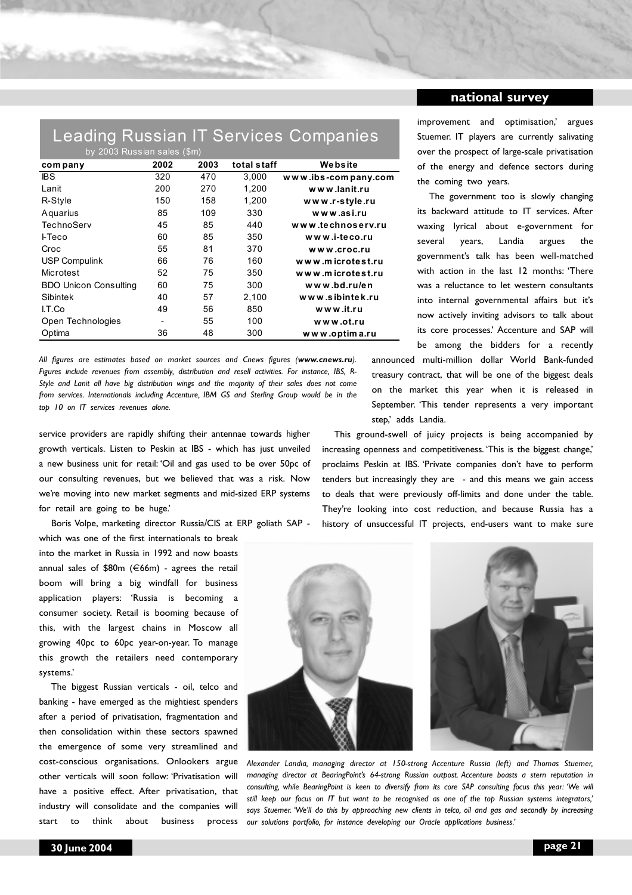## Leading Russian IT Services Companies

| by 2003 Russian sales (\$m)  |      |      |             |                     |
|------------------------------|------|------|-------------|---------------------|
| com pany                     | 2002 | 2003 | total staff | Website             |
| <b>IBS</b>                   | 320  | 470  | 3.000       | www.ibs-company.com |
| Lanit                        | 200  | 270  | 1,200       | www.lanit.ru        |
| R-Style                      | 150  | 158  | 1,200       | www.r-style.ru      |
| Aquarius                     | 85   | 109  | 330         | www.asi.ru          |
| TechnoServ                   | 45   | 85   | 440         | www.technoserv.ru   |
| <b>I-Teco</b>                | 60   | 85   | 350         | www.i-teco.ru       |
| Croc                         | 55   | 81   | 370         | www.croc.ru         |
| <b>USP Compulink</b>         | 66   | 76   | 160         | www.microtest.ru    |
| Microtest                    | 52   | 75   | 350         | www.microtest.ru    |
| <b>BDO Unicon Consulting</b> | 60   | 75   | 300         | www.bd.ru/en        |
| Sibintek                     | 40   | 57   | 2,100       | www.sibintek.ru     |
| I.T.Co                       | 49   | 56   | 850         | www.it.ru           |
| Open Technologies            |      | 55   | 100         | www.ot.ru           |
| Optima                       | 36   | 48   | 300         | www.optima.ru       |

*All figures are estimates based on market sources and Cnews figures (www.cnews.ru). Figures include revenues from assembly, distribution and resell activities. For instance, IBS, R-Style and Lanit all have big distribution wings and the majority of their sales does not come from services. Internationals including Accenture, IBM GS and Sterling Group would be in the top 10 on IT services revenues alone.*

service providers are rapidly shifting their antennae towards higher growth verticals. Listen to Peskin at IBS - which has just unveiled a new business unit for retail: 'Oil and gas used to be over 50pc of our consulting revenues, but we believed that was a risk. Now we're moving into new market segments and mid-sized ERP systems for retail are going to be huge.'

Boris Volpe, marketing director Russia/CIS at ERP goliath SAP -

which was one of the first internationals to break into the market in Russia in 1992 and now boasts annual sales of \$80m (€66m) - agrees the retail boom will bring a big windfall for business application players: 'Russia is becoming a consumer society. Retail is booming because of this, with the largest chains in Moscow all growing 40pc to 60pc year-on-year. To manage this growth the retailers need contemporary systems.'

The biggest Russian verticals - oil, telco and banking - have emerged as the mightiest spenders after a period of privatisation, fragmentation and then consolidation within these sectors spawned the emergence of some very streamlined and cost-conscious organisations. Onlookers argue other verticals will soon follow: 'Privatisation will have a positive effect. After privatisation, that industry will consolidate and the companies will start to think about business process

improvement and optimisation,' argues Stuemer. IT players are currently salivating over the prospect of large-scale privatisation of the energy and defence sectors during the coming two years.

The government too is slowly changing its backward attitude to IT services. After waxing lyrical about e-government for several years, Landia argues the government's talk has been well-matched with action in the last 12 months: 'There was a reluctance to let western consultants into internal governmental affairs but it's now actively inviting advisors to talk about its core processes.' Accenture and SAP will be among the bidders for a recently

announced multi-million dollar World Bank-funded treasury contract, that will be one of the biggest deals on the market this year when it is released in September. 'This tender represents a very important step,' adds Landia.

This ground-swell of juicy projects is being accompanied by increasing openness and competitiveness. 'This is the biggest change,' proclaims Peskin at IBS. 'Private companies don't have to perform tenders but increasingly they are - and this means we gain access to deals that were previously off-limits and done under the table. They're looking into cost reduction, and because Russia has a history of unsuccessful IT projects, end-users want to make sure



*Alexander Landia, managing director at 150-strong Accenture Russia (left) and Thomas Stuemer, managing director at BearingPoint's 64-strong Russian outpost. Accenture boasts a stern reputation in consulting, while BearingPoint is keen to diversify from its core SAP consulting focus this year: 'We will still keep our focus on IT but want to be recognised as one of the top Russian systems integrators,' says Stuemer. 'We'll do this by approaching new clients in telco, oil and gas and secondly by increasing our solutions portfolio, for instance developing our Oracle applications business.'*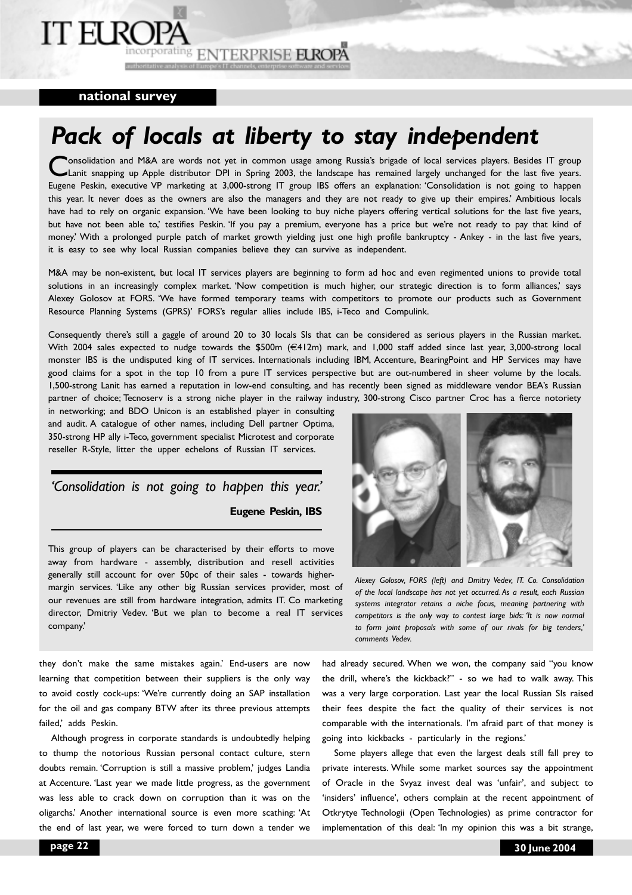## **IT ELRC**

incorporating ENTERPRISE EUROPA authoritative analys

### **national survey**

## *Pack of locals at liberty to stay independent*

**Consolidation and M&A are words not yet in common usage among Russia's brigade of local services players. Besides IT group** Lanit snapping up Apple distributor DPI in Spring 2003, the landscape has remained largely unchanged for the last five years. Eugene Peskin, executive VP marketing at 3,000-strong IT group IBS offers an explanation: 'Consolidation is not going to happen this year. It never does as the owners are also the managers and they are not ready to give up their empires.' Ambitious locals have had to rely on organic expansion. 'We have been looking to buy niche players offering vertical solutions for the last five years, but have not been able to,' testifies Peskin. 'If you pay a premium, everyone has a price but we're not ready to pay that kind of money.' With a prolonged purple patch of market growth yielding just one high profile bankruptcy - Ankey - in the last five years, it is easy to see why local Russian companies believe they can survive as independent.

M&A may be non-existent, but local IT services players are beginning to form ad hoc and even regimented unions to provide total solutions in an increasingly complex market. 'Now competition is much higher, our strategic direction is to form alliances,' says Alexey Golosov at FORS. 'We have formed temporary teams with competitors to promote our products such as Government Resource Planning Systems (GPRS)' FORS's regular allies include IBS, i-Teco and Compulink.

Consequently there's still a gaggle of around 20 to 30 locals SIs that can be considered as serious players in the Russian market. With 2004 sales expected to nudge towards the \$500m (€412m) mark, and 1,000 staff added since last year, 3,000-strong local monster IBS is the undisputed king of IT services. Internationals including IBM, Accenture, BearingPoint and HP Services may have good claims for a spot in the top 10 from a pure IT services perspective but are out-numbered in sheer volume by the locals. 1,500-strong Lanit has earned a reputation in low-end consulting, and has recently been signed as middleware vendor BEA's Russian partner of choice; Tecnoserv is a strong niche player in the railway industry, 300-strong Cisco partner Croc has a fierce notoriety

in networking; and BDO Unicon is an established player in consulting and audit. A catalogue of other names, including Dell partner Optima, 350-strong HP ally i-Teco, government specialist Microtest and corporate reseller R-Style, litter the upper echelons of Russian IT services.

## *'Consolidation is not going to happen this year.'* **Eugene Peskin, IBS**

This group of players can be characterised by their efforts to move away from hardware - assembly, distribution and resell activities generally still account for over 50pc of their sales - towards highermargin services. 'Like any other big Russian services provider, most of our revenues are still from hardware integration, admits IT. Co marketing director, Dmitriy Vedev. 'But we plan to become a real IT services company.'



*Alexey Golosov, FORS (left) and Dmitry Vedev, IT. Co. Consolidation of the local landscape has not yet occurred. As a result, each Russian systems integrator retains a niche focus, meaning partnering with competitors is the only way to contest large bids: 'It is now normal to form joint proposals with some of our rivals for big tenders,' comments Vedev.*

they don't make the same mistakes again.' End-users are now learning that competition between their suppliers is the only way to avoid costly cock-ups: 'We're currently doing an SAP installation for the oil and gas company BTW after its three previous attempts failed,' adds Peskin.

Although progress in corporate standards is undoubtedly helping to thump the notorious Russian personal contact culture, stern doubts remain. 'Corruption is still a massive problem,' judges Landia at Accenture. 'Last year we made little progress, as the government was less able to crack down on corruption than it was on the oligarchs.' Another international source is even more scathing: 'At the end of last year, we were forced to turn down a tender we

had already secured. When we won, the company said "you know the drill, where's the kickback?" - so we had to walk away. This was a very large corporation. Last year the local Russian SIs raised their fees despite the fact the quality of their services is not comparable with the internationals. I'm afraid part of that money is going into kickbacks - particularly in the regions.'

Some players allege that even the largest deals still fall prey to private interests. While some market sources say the appointment of Oracle in the Svyaz invest deal was 'unfair', and subject to 'insiders' influence', others complain at the recent appointment of Otkrytye Technologii (Open Technologies) as prime contractor for implementation of this deal: 'In my opinion this was a bit strange,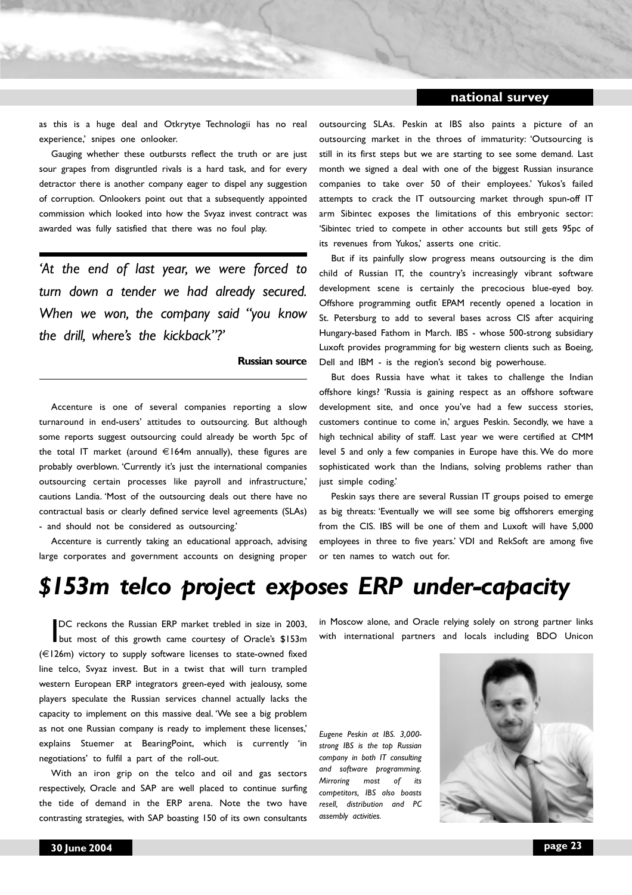## **national survey**

as this is a huge deal and Otkrytye Technologii has no real experience,' snipes one onlooker.

Gauging whether these outbursts reflect the truth or are just sour grapes from disgruntled rivals is a hard task, and for every detractor there is another company eager to dispel any suggestion of corruption. Onlookers point out that a subsequently appointed commission which looked into how the Svyaz invest contract was awarded was fully satisfied that there was no foul play.

*'At the end of last year, we were forced to turn down a tender we had already secured. When we won, the company said "you know the drill, where's the kickback"?'*

#### **Russian source**

Accenture is one of several companies reporting a slow turnaround in end-users' attitudes to outsourcing. But although some reports suggest outsourcing could already be worth 5pc of the total IT market (around  $\in$ 164m annually), these figures are probably overblown. 'Currently it's just the international companies outsourcing certain processes like payroll and infrastructure,' cautions Landia. 'Most of the outsourcing deals out there have no contractual basis or clearly defined service level agreements (SLAs) - and should not be considered as outsourcing.'

Accenture is currently taking an educational approach, advising large corporates and government accounts on designing proper outsourcing SLAs. Peskin at IBS also paints a picture of an outsourcing market in the throes of immaturity: 'Outsourcing is still in its first steps but we are starting to see some demand. Last month we signed a deal with one of the biggest Russian insurance companies to take over 50 of their employees.' Yukos's failed attempts to crack the IT outsourcing market through spun-off IT arm Sibintec exposes the limitations of this embryonic sector: 'Sibintec tried to compete in other accounts but still gets 95pc of its revenues from Yukos,' asserts one critic.

But if its painfully slow progress means outsourcing is the dim child of Russian IT, the country's increasingly vibrant software development scene is certainly the precocious blue-eyed boy. Offshore programming outfit EPAM recently opened a location in St. Petersburg to add to several bases across CIS after acquiring Hungary-based Fathom in March. IBS - whose 500-strong subsidiary Luxoft provides programming for big western clients such as Boeing, Dell and IBM - is the region's second big powerhouse.

But does Russia have what it takes to challenge the Indian offshore kings? 'Russia is gaining respect as an offshore software development site, and once you've had a few success stories, customers continue to come in,' argues Peskin. Secondly, we have a high technical ability of staff. Last year we were certified at CMM level 5 and only a few companies in Europe have this. We do more sophisticated work than the Indians, solving problems rather than just simple coding.'

Peskin says there are several Russian IT groups poised to emerge as big threats: 'Eventually we will see some big offshorers emerging from the CIS. IBS will be one of them and Luxoft will have 5,000 employees in three to five years.' VDI and RekSoft are among five or ten names to watch out for.

## *\$153m telco project exposes ERP under-capacity*

DC reckons the Russian ERP market trebled in size in 2003,<br>but most of this growth came courtesy of Oracle's \$153m DC reckons the Russian ERP market trebled in size in 2003, (€126m) victory to supply software licenses to state-owned fixed line telco, Svyaz invest. But in a twist that will turn trampled western European ERP integrators green-eyed with jealousy, some players speculate the Russian services channel actually lacks the capacity to implement on this massive deal. 'We see a big problem as not one Russian company is ready to implement these licenses,' explains Stuemer at BearingPoint, which is currently 'in negotiations' to fulfil a part of the roll-out.

With an iron grip on the telco and oil and gas sectors respectively, Oracle and SAP are well placed to continue surfing the tide of demand in the ERP arena. Note the two have contrasting strategies, with SAP boasting 150 of its own consultants in Moscow alone, and Oracle relying solely on strong partner links with international partners and locals including BDO Unicon

*Eugene Peskin at IBS. 3,000 strong IBS is the top Russian company in both IT consulting and software programming. Mirroring most of its competitors, IBS also boasts resell, distribution and PC assembly activities.*